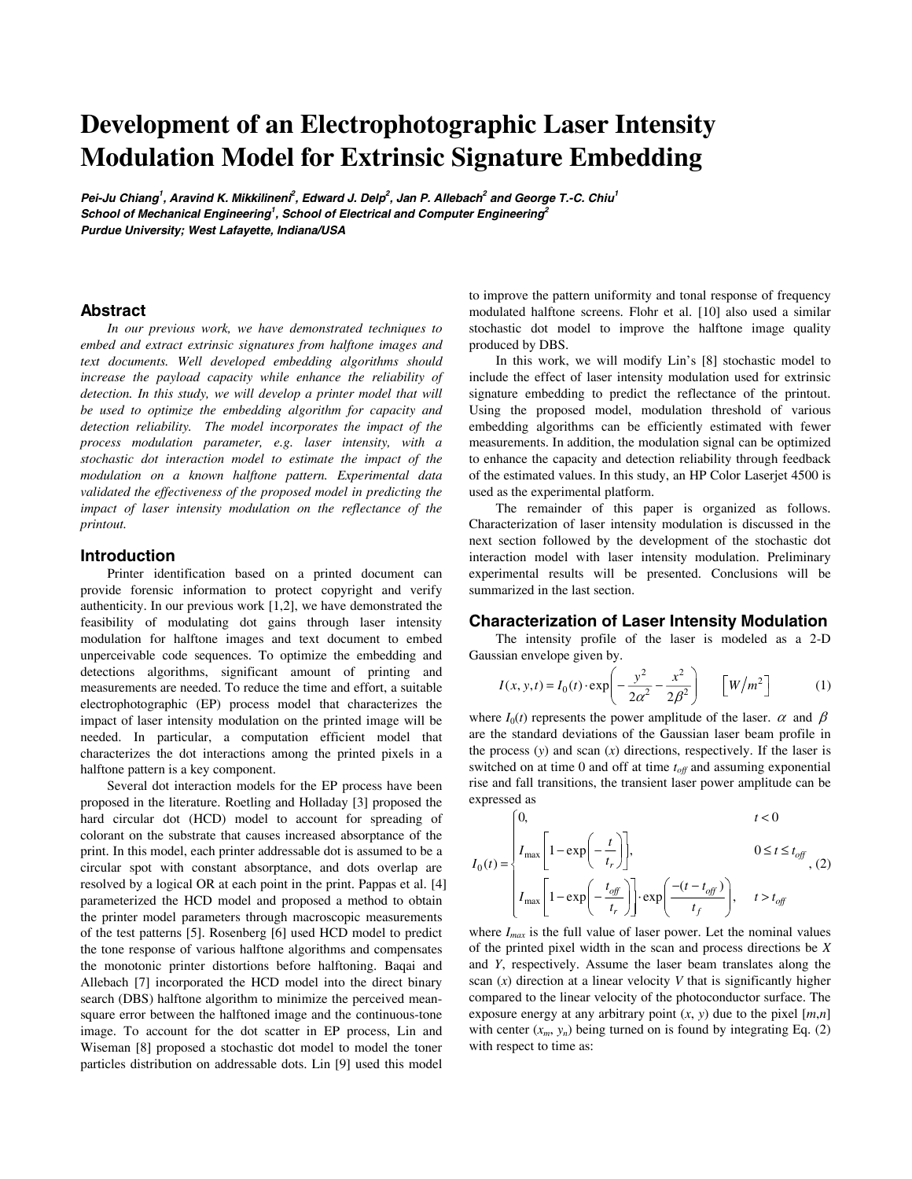# **Development of an Electrophotographic Laser Intensity Modulation Model for Extrinsic Signature Embedding**

**Pei-Ju Chiang<sup>1</sup> , Aravind K. Mikkilineni<sup>2</sup> , Edward J. Delp<sup>2</sup> , Jan P. Allebach<sup>2</sup> and George T.-C. Chiu<sup>1</sup> School of Mechanical Engineering<sup>1</sup> , School of Electrical and Computer Engineering<sup>2</sup> Purdue University; West Lafayette, Indiana/USA** 

#### **Abstract**

*In our previous work, we have demonstrated techniques to embed and extract extrinsic signatures from halftone images and text documents. Well developed embedding algorithms should increase the payload capacity while enhance the reliability of detection. In this study, we will develop a printer model that will be used to optimize the embedding algorithm for capacity and detection reliability. The model incorporates the impact of the process modulation parameter, e.g. laser intensity, with a stochastic dot interaction model to estimate the impact of the modulation on a known halftone pattern. Experimental data validated the effectiveness of the proposed model in predicting the impact of laser intensity modulation on the reflectance of the printout.* 

### **Introduction**

Printer identification based on a printed document can provide forensic information to protect copyright and verify authenticity. In our previous work [1,2], we have demonstrated the feasibility of modulating dot gains through laser intensity modulation for halftone images and text document to embed unperceivable code sequences. To optimize the embedding and detections algorithms, significant amount of printing and measurements are needed. To reduce the time and effort, a suitable electrophotographic (EP) process model that characterizes the impact of laser intensity modulation on the printed image will be needed. In particular, a computation efficient model that characterizes the dot interactions among the printed pixels in a halftone pattern is a key component.

Several dot interaction models for the EP process have been proposed in the literature. Roetling and Holladay [3] proposed the hard circular dot (HCD) model to account for spreading of colorant on the substrate that causes increased absorptance of the print. In this model, each printer addressable dot is assumed to be a circular spot with constant absorptance, and dots overlap are resolved by a logical OR at each point in the print. Pappas et al. [4] parameterized the HCD model and proposed a method to obtain the printer model parameters through macroscopic measurements of the test patterns [5]. Rosenberg [6] used HCD model to predict the tone response of various halftone algorithms and compensates the monotonic printer distortions before halftoning. Baqai and Allebach [7] incorporated the HCD model into the direct binary search (DBS) halftone algorithm to minimize the perceived meansquare error between the halftoned image and the continuous-tone image. To account for the dot scatter in EP process, Lin and Wiseman [8] proposed a stochastic dot model to model the toner particles distribution on addressable dots. Lin [9] used this model

to improve the pattern uniformity and tonal response of frequency modulated halftone screens. Flohr et al. [10] also used a similar stochastic dot model to improve the halftone image quality produced by DBS.

In this work, we will modify Lin's [8] stochastic model to include the effect of laser intensity modulation used for extrinsic signature embedding to predict the reflectance of the printout. Using the proposed model, modulation threshold of various embedding algorithms can be efficiently estimated with fewer measurements. In addition, the modulation signal can be optimized to enhance the capacity and detection reliability through feedback of the estimated values. In this study, an HP Color Laserjet 4500 is used as the experimental platform.

The remainder of this paper is organized as follows. Characterization of laser intensity modulation is discussed in the next section followed by the development of the stochastic dot interaction model with laser intensity modulation. Preliminary experimental results will be presented. Conclusions will be summarized in the last section.

#### **Characterization of Laser Intensity Modulation**

The intensity profile of the laser is modeled as a 2-D Gaussian envelope given by.

$$
I(x, y, t) = I_0(t) \cdot \exp\left(-\frac{y^2}{2\alpha^2} - \frac{x^2}{2\beta^2}\right) \quad [W/m^2]
$$
 (1)  
where  $I_0(t)$  represents the power amplitude of the laser.  $\alpha$  and  $\beta$ 

are the standard deviations of the Gaussian laser beam profile in the process (*y*) and scan (*x*) directions, respectively. If the laser is switched on at time  $0$  and off at time  $t_{\text{off}}$  and assuming exponential rise and fall transitions, the transient laser power amplitude can be expressed as

$$
I_0(t) = \begin{cases} 0, & t < 0 \\ I_{\text{max}} \left[ 1 - \exp\left( -\frac{t}{t_r} \right) \right], & 0 \le t \le t_{off} \\ I_{\text{max}} \left[ 1 - \exp\left( -\frac{t_{off}}{t_r} \right) \right] \cdot \exp\left( \frac{-(t - t_{off})}{t_f} \right), & t > t_{off} \end{cases}
$$

where  $I_{max}$  is the full value of laser power. Let the nominal values of the printed pixel width in the scan and process directions be *X* and *Y*, respectively. Assume the laser beam translates along the scan (*x*) direction at a linear velocity *V* that is significantly higher compared to the linear velocity of the photoconductor surface. The exposure energy at any arbitrary point  $(x, y)$  due to the pixel  $[m,n]$ with center  $(x_m, y_n)$  being turned on is found by integrating Eq. (2) with respect to time as: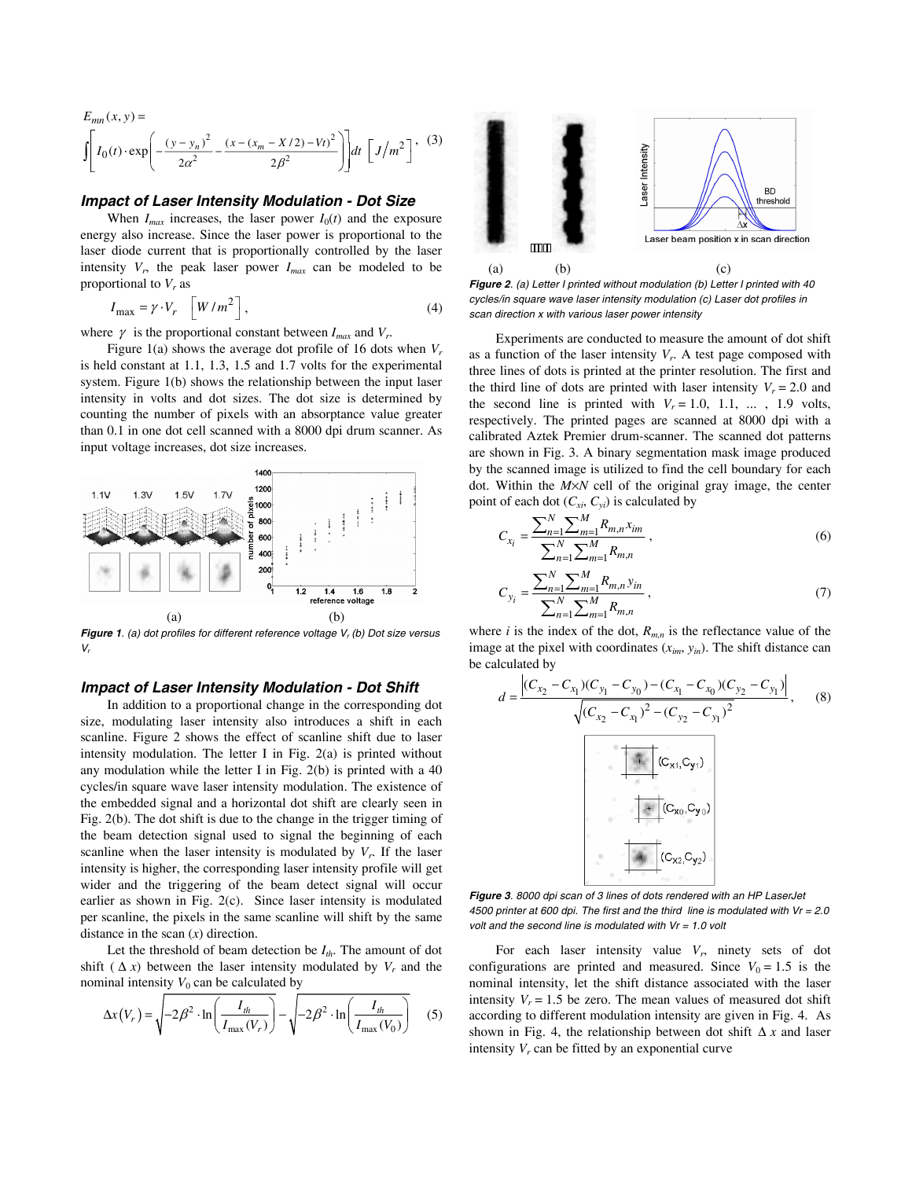$$
E_{mn}(x, y) = \int \left[ I_0(t) \cdot \exp\left( -\frac{(y - y_n)^2}{2\alpha^2} - \frac{(x - (x_m - X/2) - Vt)^2}{2\beta^2} \right) \right] dt \left[ J/m^2 \right], \quad (3)
$$

#### **Impact of Laser Intensity Modulation - Dot Size**

When  $I_{max}$  increases, the laser power  $I_0(t)$  and the exposure energy also increase. Since the laser power is proportional to the laser diode current that is proportionally controlled by the laser intensity  $V_r$ , the peak laser power  $I_{max}$  can be modeled to be proportional to  $V_r$  as

$$
I_{\text{max}} = \gamma \cdot V_r \quad \left[ W / m^2 \right],
$$
  
where  $\gamma$  is the proportional constant between  $I_{\text{max}}$  and  $V_r$ . (4)

Figure 1(a) shows the average dot profile of 16 dots when  $V_r$ is held constant at 1.1, 1.3, 1.5 and 1.7 volts for the experimental system. Figure 1(b) shows the relationship between the input laser intensity in volts and dot sizes. The dot size is determined by counting the number of pixels with an absorptance value greater than 0.1 in one dot cell scanned with a 8000 dpi drum scanner. As input voltage increases, dot size increases.



**Figure 1.** (a) dot profiles for different reference voltage  $V<sub>r</sub>$  (b) Dot size versus  $V_{\prime}$ 

#### **Impact of Laser Intensity Modulation - Dot Shift**

In addition to a proportional change in the corresponding dot size, modulating laser intensity also introduces a shift in each scanline. Figure 2 shows the effect of scanline shift due to laser intensity modulation. The letter I in Fig. 2(a) is printed without any modulation while the letter I in Fig. 2(b) is printed with a 40 cycles/in square wave laser intensity modulation. The existence of the embedded signal and a horizontal dot shift are clearly seen in Fig. 2(b). The dot shift is due to the change in the trigger timing of the beam detection signal used to signal the beginning of each scanline when the laser intensity is modulated by  $V_r$ . If the laser intensity is higher, the corresponding laser intensity profile will get wider and the triggering of the beam detect signal will occur earlier as shown in Fig. 2(c). Since laser intensity is modulated per scanline, the pixels in the same scanline will shift by the same distance in the scan (*x*) direction.

Let the threshold of beam detection be  $I_{th}$ . The amount of dot shift ( $\Delta x$ ) between the laser intensity modulated by  $V_r$  and the nominal intensity  $V_0$  can be calculated by

$$
\Delta x(V_r) = \sqrt{-2\beta^2 \cdot \ln\left(\frac{I_{th}}{I_{\text{max}}(V_r)}\right)} - \sqrt{-2\beta^2 \cdot \ln\left(\frac{I_{th}}{I_{\text{max}}(V_0)}\right)}
$$
(5)



**Figure 2.** (a) Letter I printed without modulation (b) Letter I printed with 40 cycles/in square wave laser intensity modulation (c) Laser dot profiles in scan direction x with various laser power intensity

Experiments are conducted to measure the amount of dot shift as a function of the laser intensity  $V_r$ . A test page composed with three lines of dots is printed at the printer resolution. The first and the third line of dots are printed with laser intensity  $V_r = 2.0$  and the second line is printed with  $V_r = 1.0, 1.1, \ldots, 1.9$  volts, respectively. The printed pages are scanned at 8000 dpi with a calibrated Aztek Premier drum-scanner. The scanned dot patterns are shown in Fig. 3. A binary segmentation mask image produced by the scanned image is utilized to find the cell boundary for each dot. Within the *M*×*N* cell of the original gray image, the center point of each dot  $(C_{xi}, C_{yi})$  is calculated by

$$
C_{x_i} = \frac{\sum_{n=1}^{N} \sum_{m=1}^{M} R_{m,n} x_{im}}{\sum_{n=1}^{N} \sum_{m=1}^{M} R_{m,n}},
$$
(6)

$$
C_{y_i} = \frac{\sum_{n=1}^{N} \sum_{m=1}^{M} R_{m,n} y_{in}}{\sum_{n=1}^{N} \sum_{m=1}^{M} R_{m,n}},
$$
\n(7)

where *i* is the index of the dot,  $R_{m,n}$  is the reflectance value of the image at the pixel with coordinates  $(x_{im}, y_{in})$ . The shift distance can be calculated by

$$
d = \frac{|(C_{x_2} - C_{x_1})(C_{y_1} - C_{y_0}) - (C_{x_1} - C_{x_0})(C_{y_2} - C_{y_1})|}{\sqrt{(C_{x_2} - C_{x_1})^2 - (C_{y_2} - C_{y_1})^2}},
$$
\n
$$
+ |(C_{x_1}, C_{y_1})| + |(C_{x_0}, C_{y_0})| + |(C_{x_2}, C_{y_2})| + |(C_{x_2}, C_{y_2})|
$$

**Figure 3**. 8000 dpi scan of 3 lines of dots rendered with an HP LaserJet 4500 printer at 600 dpi. The first and the third line is modulated with  $Vr = 2.0$ volt and the second line is modulated with  $Vr = 1.0$  volt

For each laser intensity value  $V_r$ , ninety sets of dot configurations are printed and measured. Since  $V_0 = 1.5$  is the nominal intensity, let the shift distance associated with the laser intensity  $V_r = 1.5$  be zero. The mean values of measured dot shift according to different modulation intensity are given in Fig. 4. As shown in Fig. 4, the relationship between dot shift ∆ *x* and laser intensity  $V_r$  can be fitted by an exponential curve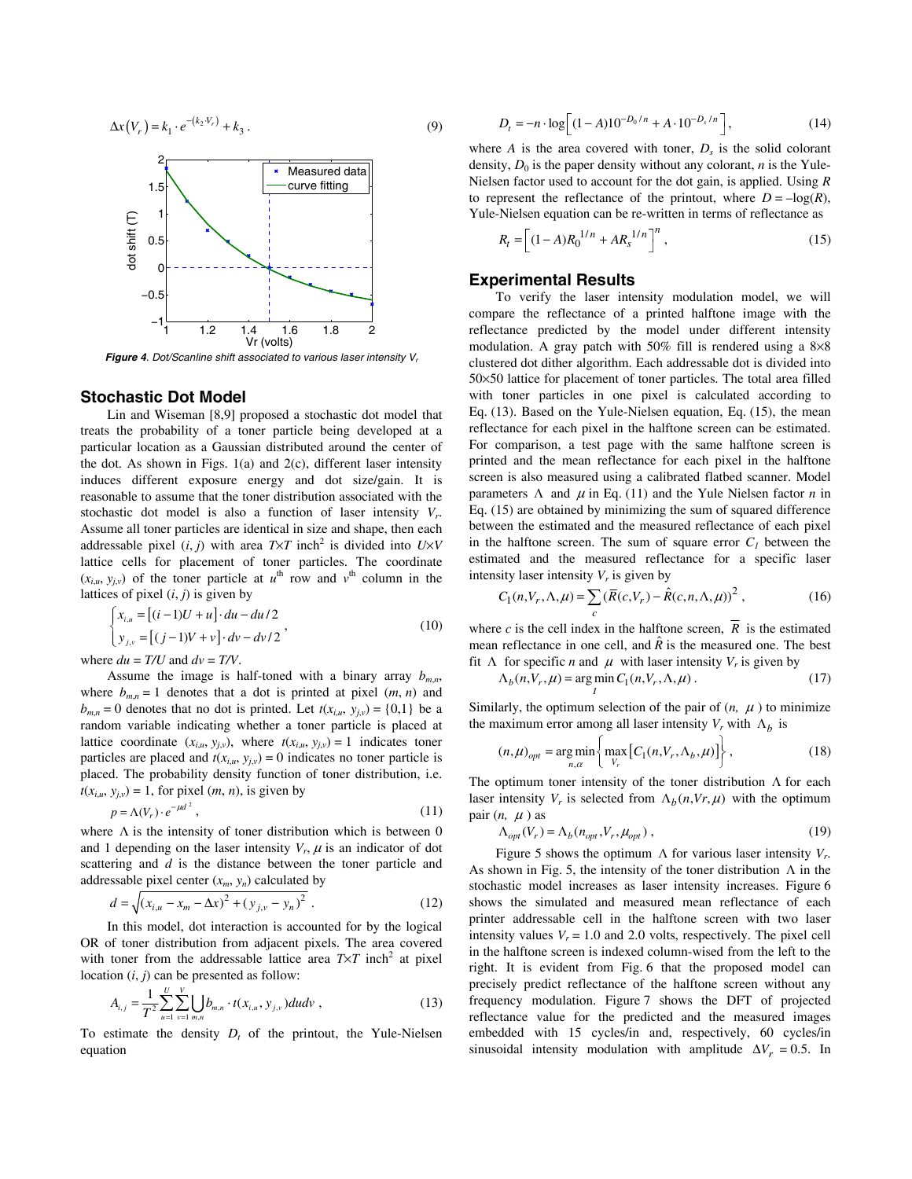$$
\Delta x(V_r) = k_1 \cdot e^{-(k_2 \cdot V_r)} + k_3 \,. \tag{9}
$$



**Figure 4.** Dot/Scanline shift associated to various laser intensity  $V_r$ 

### **Stochastic Dot Model**

Lin and Wiseman [8,9] proposed a stochastic dot model that treats the probability of a toner particle being developed at a particular location as a Gaussian distributed around the center of the dot. As shown in Figs.  $1(a)$  and  $2(c)$ , different laser intensity induces different exposure energy and dot size/gain. It is reasonable to assume that the toner distribution associated with the stochastic dot model is also a function of laser intensity *Vr*. Assume all toner particles are identical in size and shape, then each addressable pixel  $(i, j)$  with area  $T \times T$  inch<sup>2</sup> is divided into  $U \times V$ lattice cells for placement of toner particles. The coordinate  $(x_{i,u}, y_{i,v})$  of the toner particle at  $u^{\text{th}}$  row and  $v^{\text{th}}$  column in the lattices of pixel  $(i, j)$  is given by

$$
\begin{cases}\n x_{i,u} = [(i-1)U + u] \cdot du - du/2 \\
y_{j,v} = [(j-1)V + v] \cdot dv - dv/2\n\end{cases}
$$
\n
$$
\text{where } du = T/U \text{ and } dv = T/V. \tag{10}
$$

Assume the image is half-toned with a binary array  $b_{m,n}$ , where  $b_{m,n} = 1$  denotes that a dot is printed at pixel  $(m, n)$  and  $b_{m,n} = 0$  denotes that no dot is printed. Let  $t(x_{i,u}, y_{j,v}) = \{0,1\}$  be a random variable indicating whether a toner particle is placed at lattice coordinate  $(x_{i,u}, y_{j,v})$ , where  $t(x_{i,u}, y_{j,v}) = 1$  indicates toner particles are placed and  $t(x_i, y_i, y_i) = 0$  indicates no toner particle is placed. The probability density function of toner distribution, i.e.  $t(x_{i,u}, y_{j,v}) = 1$ , for pixel  $(m, n)$ , is given by

$$
p = \Lambda(V_r) \cdot e^{-\mu d^2},\tag{11}
$$

where  $\Lambda$  is the intensity of toner distribution which is between 0 and 1 depending on the laser intensity  $V_r$ ,  $\mu$  is an indicator of dot scattering and *d* is the distance between the toner particle and addressable pixel center  $(x_m, y_n)$  calculated by

$$
d = \sqrt{(x_{i,u} - x_m - \Delta x)^2 + (y_{j,v} - y_n)^2} \tag{12}
$$

In this model, dot interaction is accounted for by the logical OR of toner distribution from adjacent pixels. The area covered with toner from the addressable lattice area  $T \times T$  inch<sup>2</sup> at pixel location  $(i, j)$  can be presented as follow:

$$
A_{i,j} = \frac{1}{T^2} \sum_{u=1}^{U} \sum_{v=1}^{V} \bigcup_{m,n} b_{m,n} \cdot t(x_{i,u}, y_{j,v}) du dv,
$$
 (13)

To estimate the density  $D_t$  of the printout, the Yule-Nielsen equation

$$
D_t = -n \cdot \log \left[ (1 - A) 10^{-D_0/n} + A \cdot 10^{-D_s/n} \right],
$$
 (14)  
where A is the area covered with toner,  $D_s$  is the solid colorant

density,  $D_0$  is the paper density without any colorant, *n* is the Yule-Nielsen factor used to account for the dot gain, is applied. Using *R* to represent the reflectance of the printout, where  $D = -\log(R)$ , Yule-Nielsen equation can be re-written in terms of reflectance as

$$
R_t = \left[ (1 - A)R_0^{1/n} + AR_s^{1/n} \right]^n, \tag{15}
$$

## **Experimental Results**

To verify the laser intensity modulation model, we will compare the reflectance of a printed halftone image with the reflectance predicted by the model under different intensity modulation. A gray patch with 50% fill is rendered using a 8×8 clustered dot dither algorithm. Each addressable dot is divided into 50×50 lattice for placement of toner particles. The total area filled with toner particles in one pixel is calculated according to Eq. (13). Based on the Yule-Nielsen equation, Eq. (15), the mean reflectance for each pixel in the halftone screen can be estimated. For comparison, a test page with the same halftone screen is printed and the mean reflectance for each pixel in the halftone screen is also measured using a calibrated flatbed scanner. Model parameters  $\Lambda$  and  $\mu$  in Eq. (11) and the Yule Nielsen factor *n* in Eq. (15) are obtained by minimizing the sum of squared difference between the estimated and the measured reflectance of each pixel in the halftone screen. The sum of square error  $C<sub>1</sub>$  between the estimated and the measured reflectance for a specific laser intensity laser intensity  $V_r$  is given by

$$
C_1(n, V_r, \Lambda, \mu) = \sum_c (\overline{R}(c, V_r) - \hat{R}(c, n, \Lambda, \mu))^2,
$$
\n(16)

where *c* is the cell index in the halftone screen,  $\overline{R}$  is the estimated mean reflectance in one cell, and  $\hat{R}$  is the measured one. The best fit  $\Lambda$  for specific *n* and  $\mu$  with laser intensity  $V_r$  is given by

$$
\Lambda_b(n, V_r, \mu) = \underset{I}{\text{arg min}} C_1(n, V_r, \Lambda, \mu) \,. \tag{17}
$$

Similarly, the optimum selection of the pair of  $(n, \mu)$  to minimize the maximum error among all laser intensity  $V_r$  with  $\Lambda_h$  is

$$
(n,\mu)_{opt} = \underset{n,\alpha}{\arg\min} \left\{ \underset{V_r}{\max} \left[ C_1(n,V_r,\Lambda_b,\mu) \right] \right\},\tag{18}
$$
  
The optimum toner intensity of the toner distribution  $\Lambda$  for each

laser intensity  $V_r$  is selected from  $\Lambda_h(n, Vr, \mu)$  with the optimum pair  $(n, \mu)$  as

$$
\Lambda_{opt}(V_r) = \Lambda_b(n_{opt}, V_r, \mu_{opt}), \qquad (19)
$$

Figure 5 shows the optimum Λ for various laser intensity *Vr*. As shown in Fig. 5, the intensity of the toner distribution  $\Lambda$  in the stochastic model increases as laser intensity increases. Figure 6 shows the simulated and measured mean reflectance of each printer addressable cell in the halftone screen with two laser intensity values  $V_r = 1.0$  and 2.0 volts, respectively. The pixel cell in the halftone screen is indexed column-wised from the left to the right. It is evident from Fig. 6 that the proposed model can precisely predict reflectance of the halftone screen without any frequency modulation. Figure 7 shows the DFT of projected reflectance value for the predicted and the measured images embedded with 15 cycles/in and, respectively, 60 cycles/in sinusoidal intensity modulation with amplitude  $\Delta V_r = 0.5$ . In